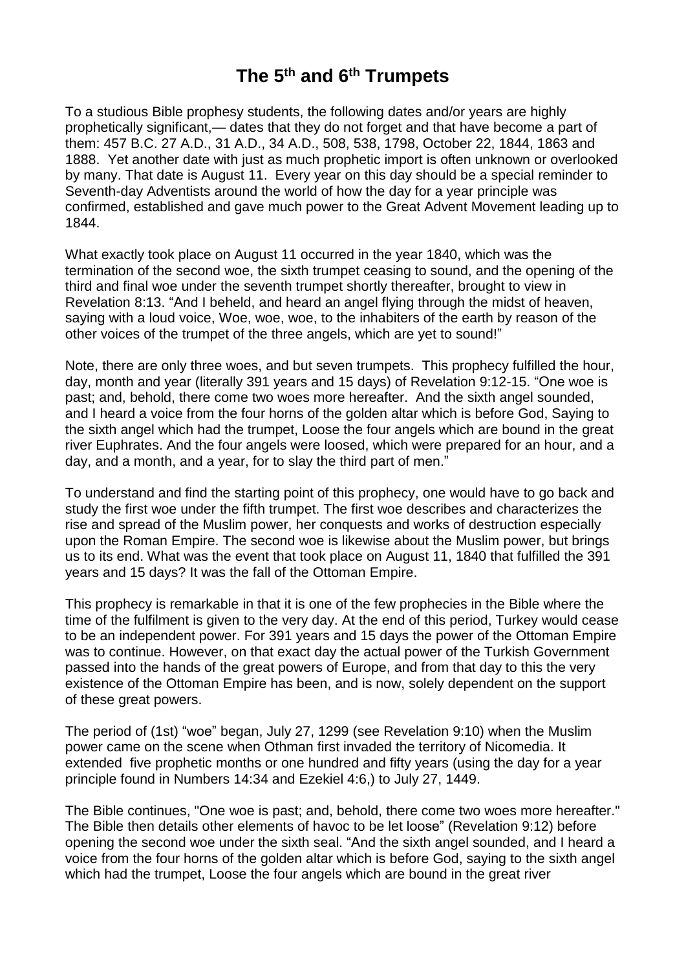## **The 5 th and 6 th Trumpets**

To a studious Bible prophesy students, the following dates and/or years are highly prophetically significant,— dates that they do not forget and that have become a part of them: 457 B.C. 27 A.D., 31 A.D., 34 A.D., 508, 538, 1798, October 22, 1844, 1863 and 1888. Yet another date with just as much prophetic import is often unknown or overlooked by many. That date is August 11. Every year on this day should be a special reminder to Seventh-day Adventists around the world of how the day for a year principle was confirmed, established and gave much power to the Great Advent Movement leading up to 1844.

What exactly took place on August 11 occurred in the year 1840, which was the termination of the second woe, the sixth trumpet ceasing to sound, and the opening of the third and final woe under the seventh trumpet shortly thereafter, brought to view in Revelation 8:13. "And I beheld, and heard an angel flying through the midst of heaven, saying with a loud voice, Woe, woe, woe, to the inhabiters of the earth by reason of the other voices of the trumpet of the three angels, which are yet to sound!"

Note, there are only three woes, and but seven trumpets. This prophecy fulfilled the hour, day, month and year (literally 391 years and 15 days) of Revelation 9:12-15. "One woe is past; and, behold, there come two woes more hereafter. And the sixth angel sounded, and I heard a voice from the four horns of the golden altar which is before God, Saying to the sixth angel which had the trumpet, Loose the four angels which are bound in the great river Euphrates. And the four angels were loosed, which were prepared for an hour, and a day, and a month, and a year, for to slay the third part of men."

To understand and find the starting point of this prophecy, one would have to go back and study the first woe under the fifth trumpet. The first woe describes and characterizes the rise and spread of the Muslim power, her conquests and works of destruction especially upon the Roman Empire. The second woe is likewise about the Muslim power, but brings us to its end. What was the event that took place on August 11, 1840 that fulfilled the 391 years and 15 days? It was the fall of the Ottoman Empire.

This prophecy is remarkable in that it is one of the few prophecies in the Bible where the time of the fulfilment is given to the very day. At the end of this period, Turkey would cease to be an independent power. For 391 years and 15 days the power of the Ottoman Empire was to continue. However, on that exact day the actual power of the Turkish Government passed into the hands of the great powers of Europe, and from that day to this the very existence of the Ottoman Empire has been, and is now, solely dependent on the support of these great powers.

The period of (1st) "woe" began, July 27, 1299 (see Revelation 9:10) when the Muslim power came on the scene when Othman first invaded the territory of Nicomedia. It extended five prophetic months or one hundred and fifty years (using the day for a year principle found in Numbers 14:34 and Ezekiel 4:6,) to July 27, 1449.

The Bible continues, "One woe is past; and, behold, there come two woes more hereafter." The Bible then details other elements of havoc to be let loose" (Revelation 9:12) before opening the second woe under the sixth seal. "And the sixth angel sounded, and I heard a voice from the four horns of the golden altar which is before God, saying to the sixth angel which had the trumpet, Loose the four angels which are bound in the great river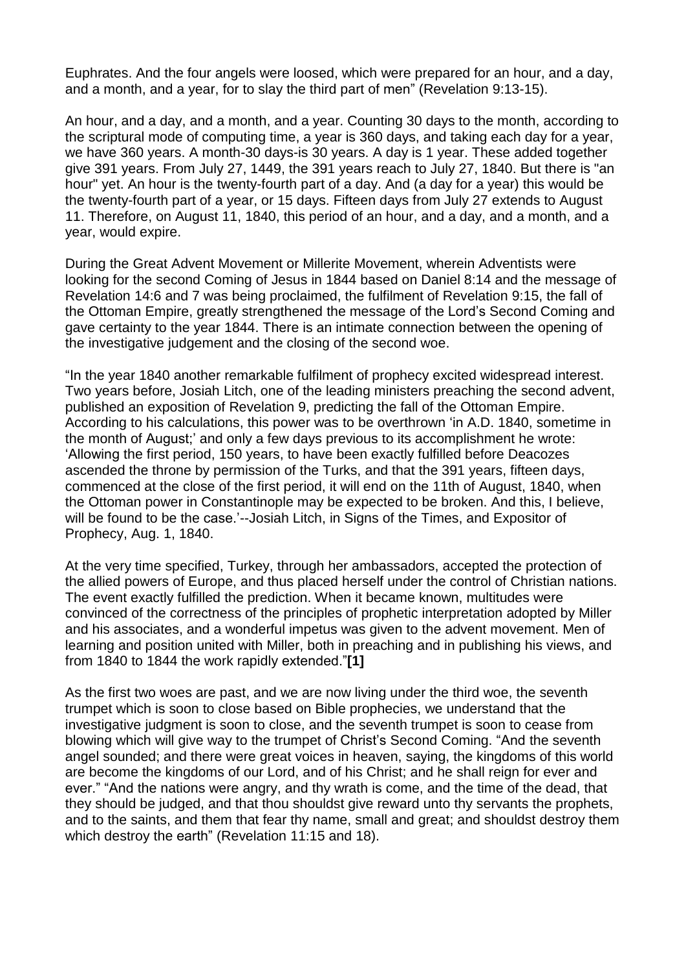Euphrates. And the four angels were loosed, which were prepared for an hour, and a day, and a month, and a year, for to slay the third part of men" (Revelation 9:13-15).

An hour, and a day, and a month, and a year. Counting 30 days to the month, according to the scriptural mode of computing time, a year is 360 days, and taking each day for a year, we have 360 years. A month-30 days-is 30 years. A day is 1 year. These added together give 391 years. From July 27, 1449, the 391 years reach to July 27, 1840. But there is "an hour" yet. An hour is the twenty-fourth part of a day. And (a day for a year) this would be the twenty-fourth part of a year, or 15 days. Fifteen days from July 27 extends to August 11. Therefore, on August 11, 1840, this period of an hour, and a day, and a month, and a year, would expire.

During the Great Advent Movement or Millerite Movement, wherein Adventists were looking for the second Coming of Jesus in 1844 based on Daniel 8:14 and the message of Revelation 14:6 and 7 was being proclaimed, the fulfilment of Revelation 9:15, the fall of the Ottoman Empire, greatly strengthened the message of the Lord's Second Coming and gave certainty to the year 1844. There is an intimate connection between the opening of the investigative judgement and the closing of the second woe.

"In the year 1840 another remarkable fulfilment of prophecy excited widespread interest. Two years before, Josiah Litch, one of the leading ministers preaching the second advent, published an exposition of Revelation 9, predicting the fall of the Ottoman Empire. According to his calculations, this power was to be overthrown 'in A.D. 1840, sometime in the month of August;' and only a few days previous to its accomplishment he wrote: 'Allowing the first period, 150 years, to have been exactly fulfilled before Deacozes ascended the throne by permission of the Turks, and that the 391 years, fifteen days, commenced at the close of the first period, it will end on the 11th of August, 1840, when the Ottoman power in Constantinople may be expected to be broken. And this, I believe, will be found to be the case.'--Josiah Litch, in Signs of the Times, and Expositor of Prophecy, Aug. 1, 1840.

At the very time specified, Turkey, through her ambassadors, accepted the protection of the allied powers of Europe, and thus placed herself under the control of Christian nations. The event exactly fulfilled the prediction. When it became known, multitudes were convinced of the correctness of the principles of prophetic interpretation adopted by Miller and his associates, and a wonderful impetus was given to the advent movement. Men of learning and position united with Miller, both in preaching and in publishing his views, and from 1840 to 1844 the work rapidly extended."**[1]**

As the first two woes are past, and we are now living under the third woe, the seventh trumpet which is soon to close based on Bible prophecies, we understand that the investigative judgment is soon to close, and the seventh trumpet is soon to cease from blowing which will give way to the trumpet of Christ's Second Coming. "And the seventh angel sounded; and there were great voices in heaven, saying, the kingdoms of this world are become the kingdoms of our Lord, and of his Christ; and he shall reign for ever and ever." "And the nations were angry, and thy wrath is come, and the time of the dead, that they should be judged, and that thou shouldst give reward unto thy servants the prophets, and to the saints, and them that fear thy name, small and great; and shouldst destroy them which destroy the earth" (Revelation 11:15 and 18).